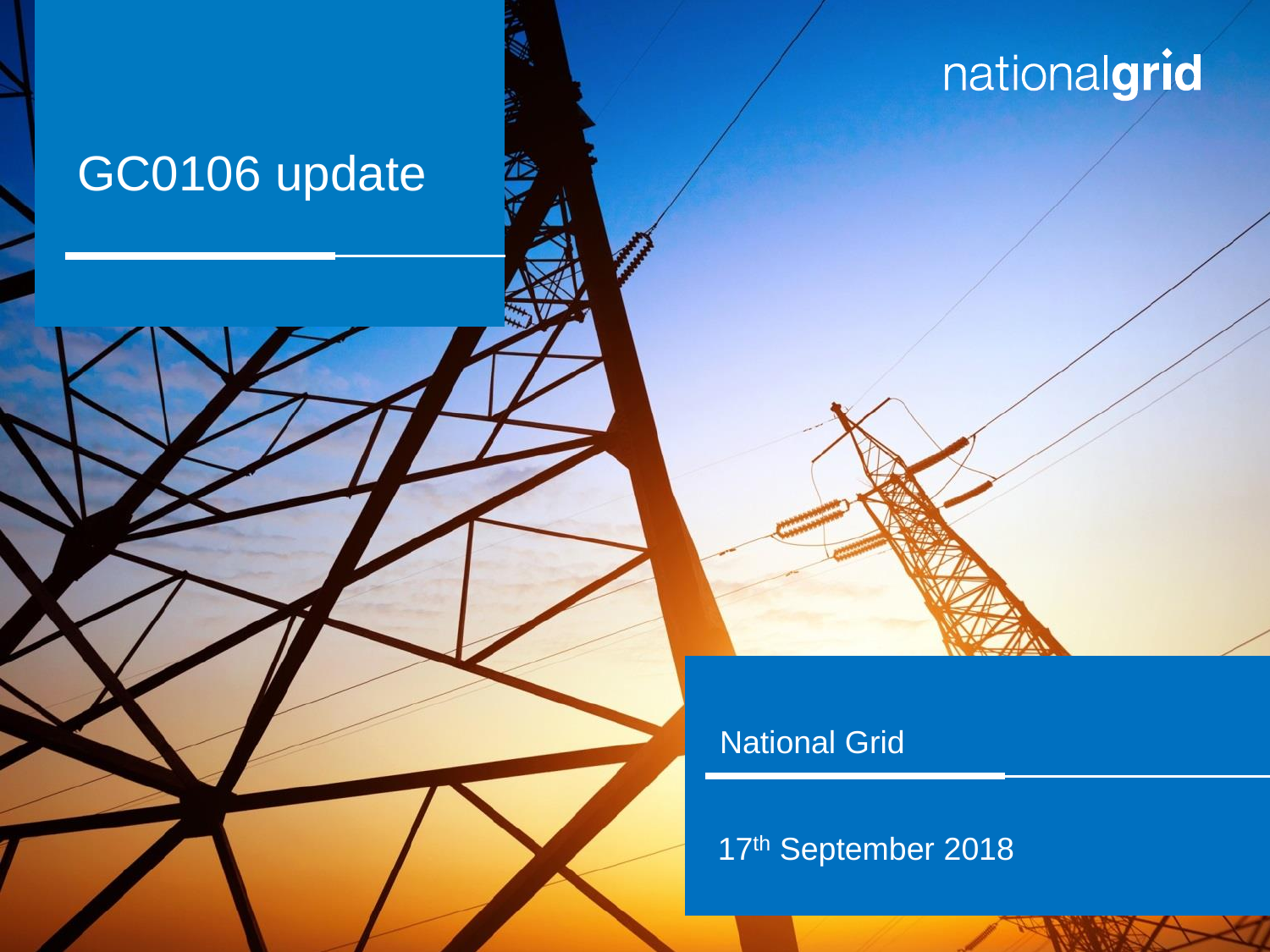# nationalgrid

## GC0106 update



17th September 2018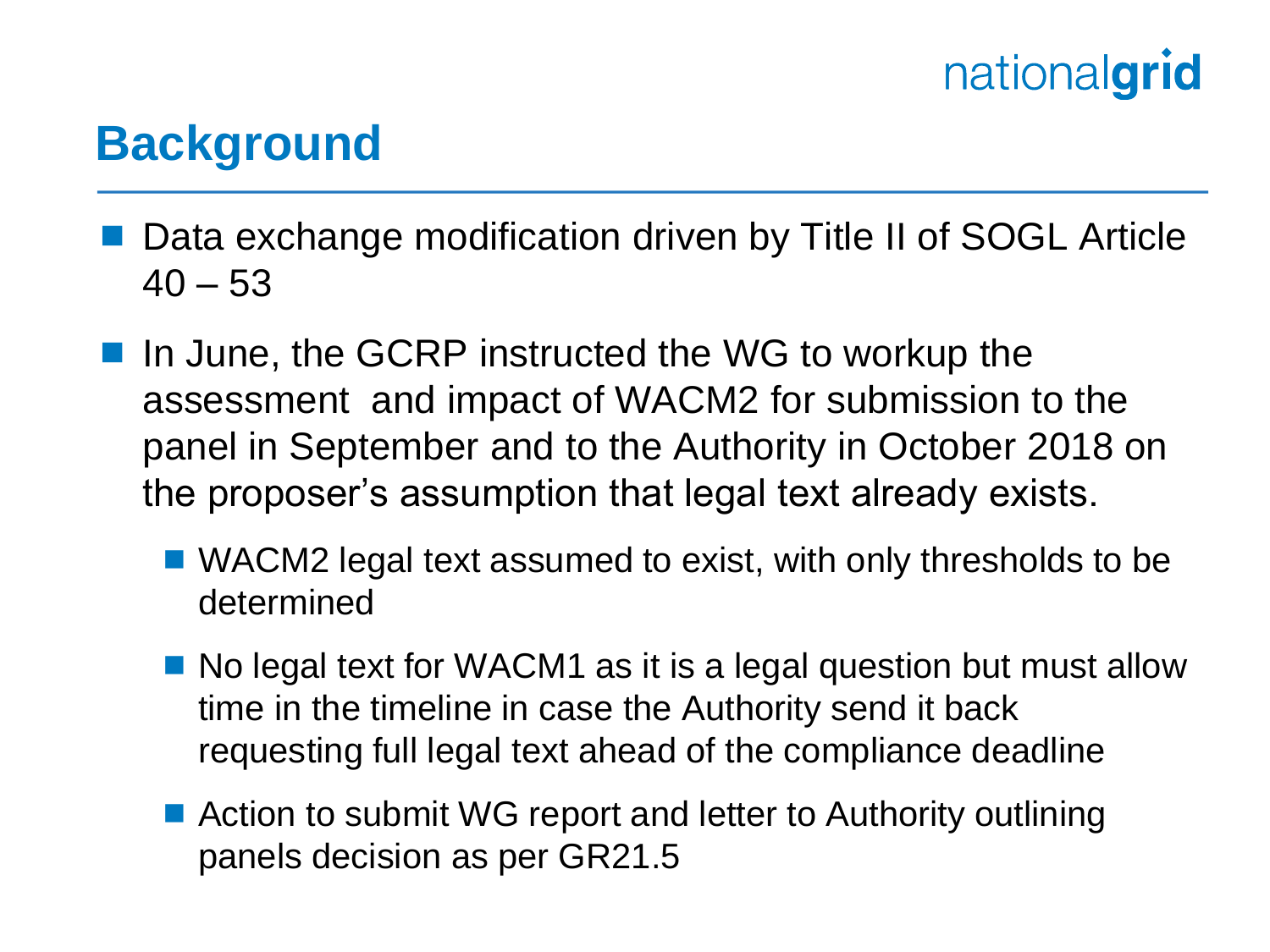# nationalgrid

## **Background**

- Data exchange modification driven by Title II of SOGL Article  $40 - 53$
- In June, the GCRP instructed the WG to workup the assessment and impact of WACM2 for submission to the panel in September and to the Authority in October 2018 on the proposer's assumption that legal text already exists.
	- WACM2 legal text assumed to exist, with only thresholds to be determined
	- No legal text for WACM1 as it is a legal question but must allow time in the timeline in case the Authority send it back requesting full legal text ahead of the compliance deadline
	- Action to submit WG report and letter to Authority outlining panels decision as per GR21.5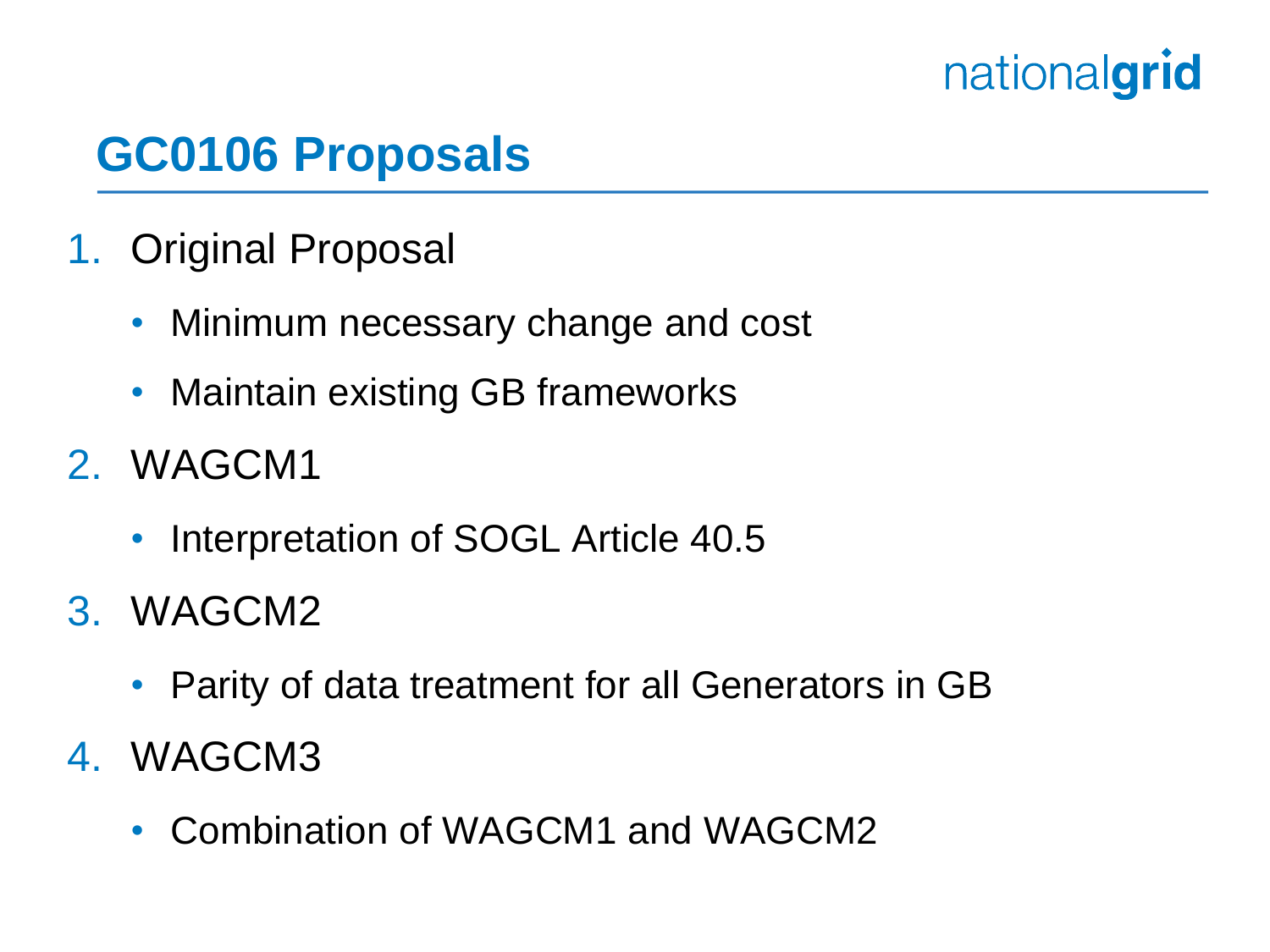# nationalgrid

## **GC0106 Proposals**

- 1. Original Proposal
	- Minimum necessary change and cost
	- Maintain existing GB frameworks
- 2. WAGCM1
	- Interpretation of SOGL Article 40.5
- 3. WAGCM2
	- Parity of data treatment for all Generators in GB
- 4. WAGCM3
	- Combination of WAGCM1 and WAGCM2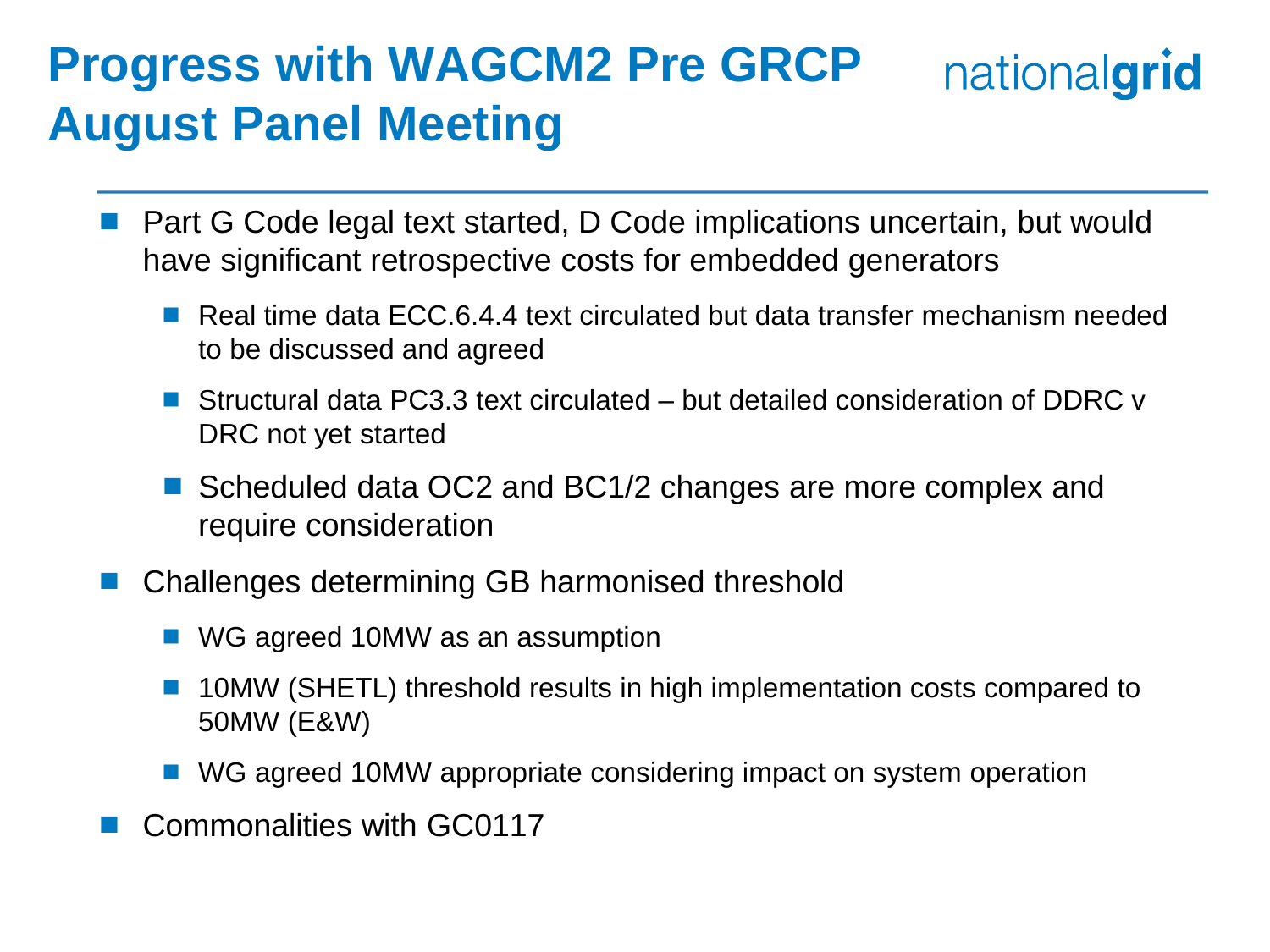#### **Progress with WAGCM2 Pre GRCP**  nationalgrid **August Panel Meeting**

- Part G Code legal text started, D Code implications uncertain, but would have significant retrospective costs for embedded generators
	- Real time data ECC.6.4.4 text circulated but data transfer mechanism needed to be discussed and agreed
	- Structural data PC3.3 text circulated but detailed consideration of DDRC v DRC not yet started
	- Scheduled data OC2 and BC1/2 changes are more complex and require consideration
- Challenges determining GB harmonised threshold
	- WG agreed 10MW as an assumption
	- 10MW (SHETL) threshold results in high implementation costs compared to 50MW (E&W)
	- WG agreed 10MW appropriate considering impact on system operation
- Commonalities with GC0117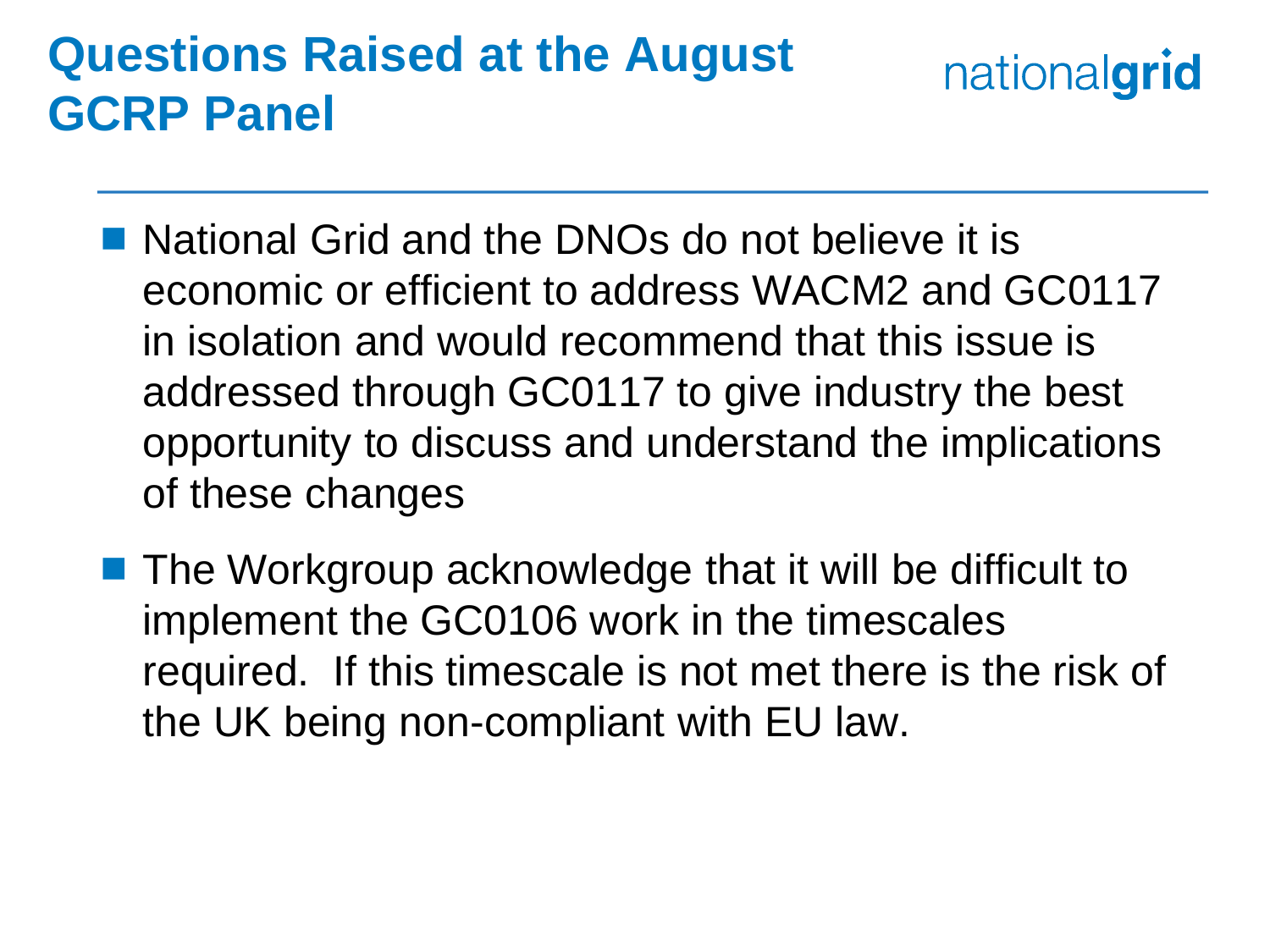## **Questions Raised at the August GCRP Panel**

# nationalgrid

- National Grid and the DNOs do not believe it is economic or efficient to address WACM2 and GC0117 in isolation and would recommend that this issue is addressed through GC0117 to give industry the best opportunity to discuss and understand the implications of these changes
- **The Workgroup acknowledge that it will be difficult to** implement the GC0106 work in the timescales required. If this timescale is not met there is the risk of the UK being non-compliant with EU law.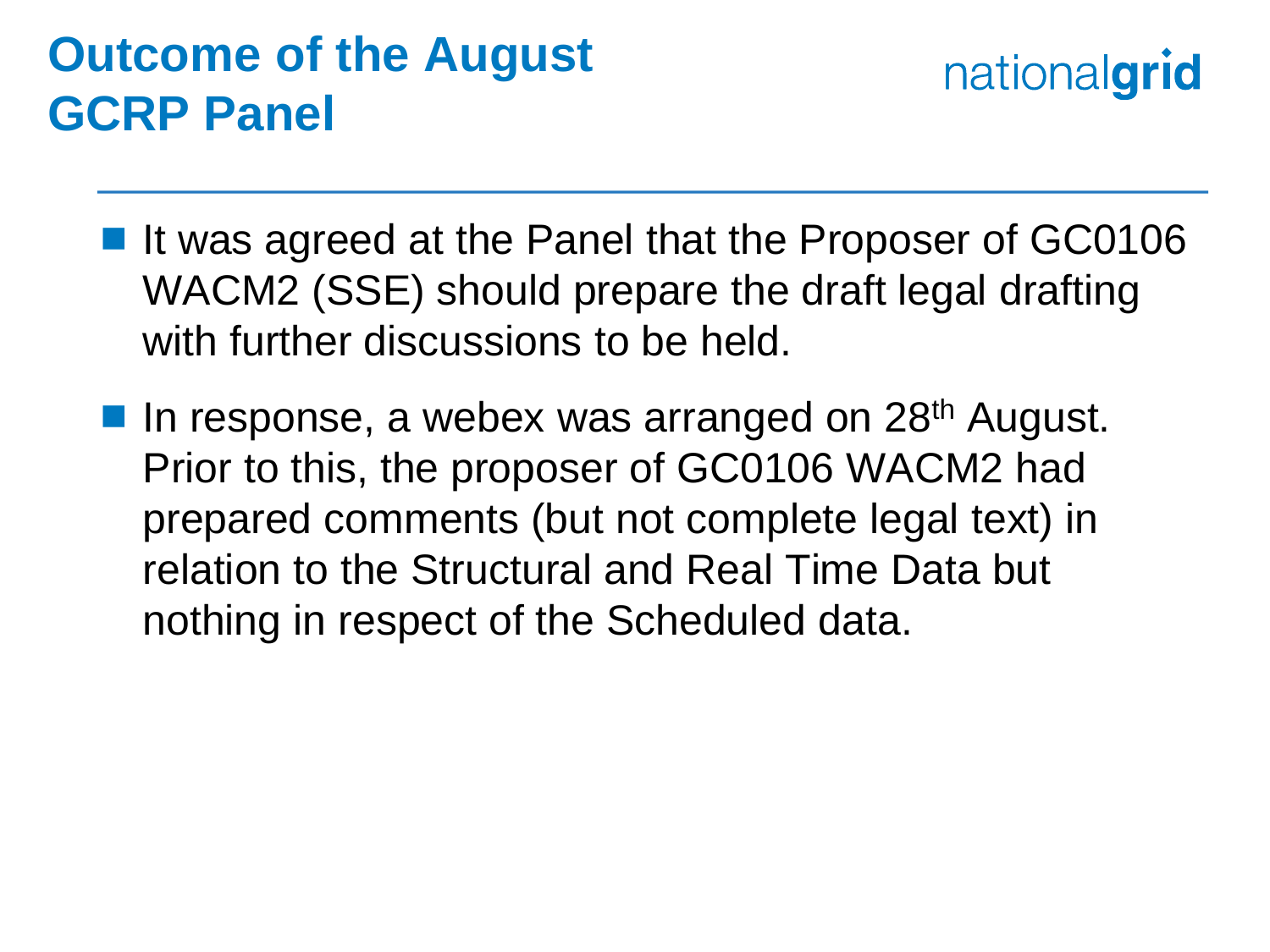## **Outcome of the August GCRP Panel**



- It was agreed at the Panel that the Proposer of GC0106 WACM2 (SSE) should prepare the draft legal drafting with further discussions to be held.
- In response, a webex was arranged on  $28<sup>th</sup>$  August. Prior to this, the proposer of GC0106 WACM2 had prepared comments (but not complete legal text) in relation to the Structural and Real Time Data but nothing in respect of the Scheduled data.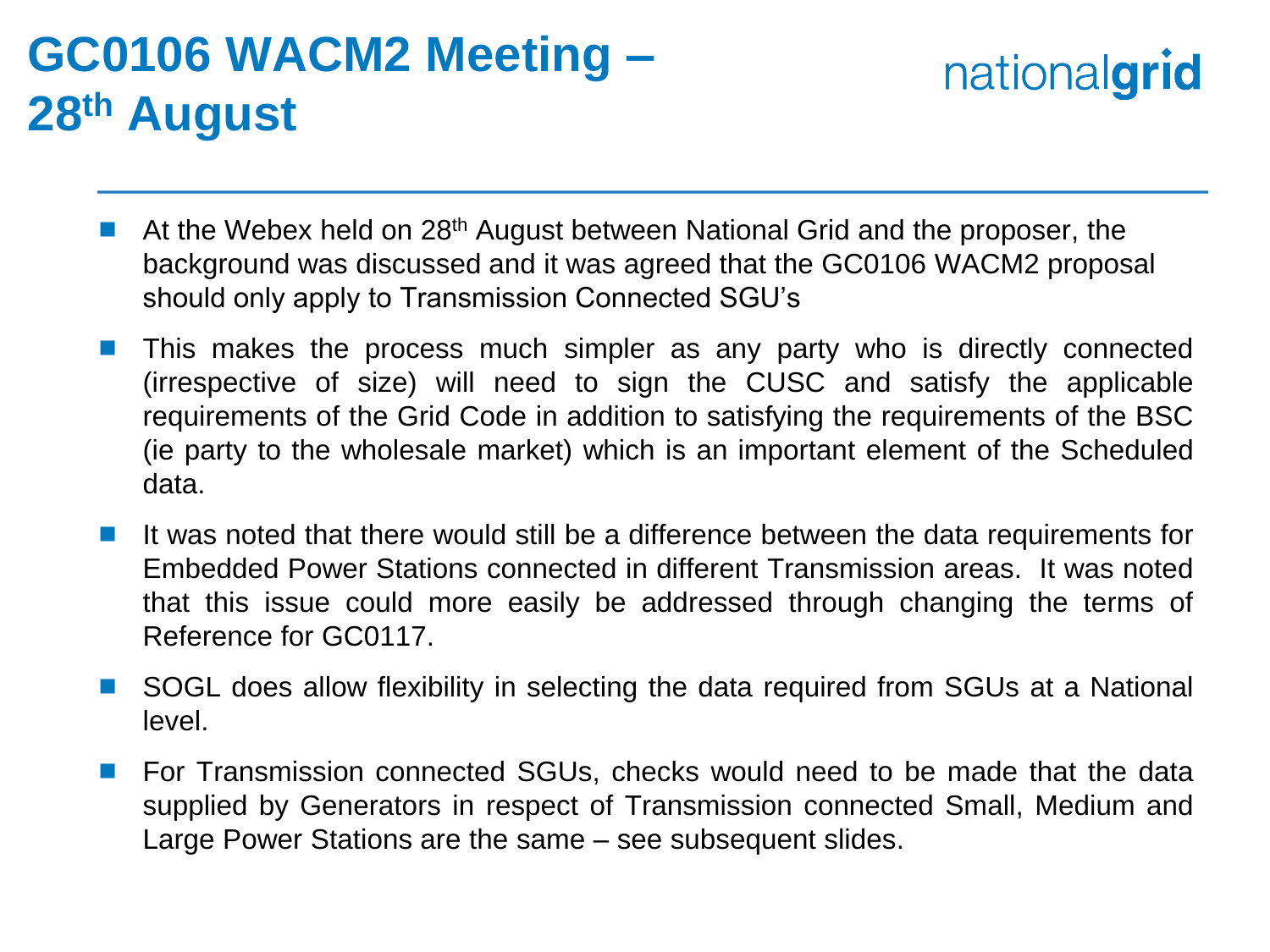## **GC0106 WACM2 Meeting – 28th August**

nationalgrid

- At the Webex held on 28<sup>th</sup> August between National Grid and the proposer, the background was discussed and it was agreed that the GC0106 WACM2 proposal should only apply to Transmission Connected SGU's
- This makes the process much simpler as any party who is directly connected (irrespective of size) will need to sign the CUSC and satisfy the applicable requirements of the Grid Code in addition to satisfying the requirements of the BSC (ie party to the wholesale market) which is an important element of the Scheduled data.
- It was noted that there would still be a difference between the data requirements for Embedded Power Stations connected in different Transmission areas. It was noted that this issue could more easily be addressed through changing the terms of Reference for GC0117.
- SOGL does allow flexibility in selecting the data required from SGUs at a National level.
- **For Transmission connected SGUs, checks would need to be made that the data** supplied by Generators in respect of Transmission connected Small, Medium and Large Power Stations are the same – see subsequent slides.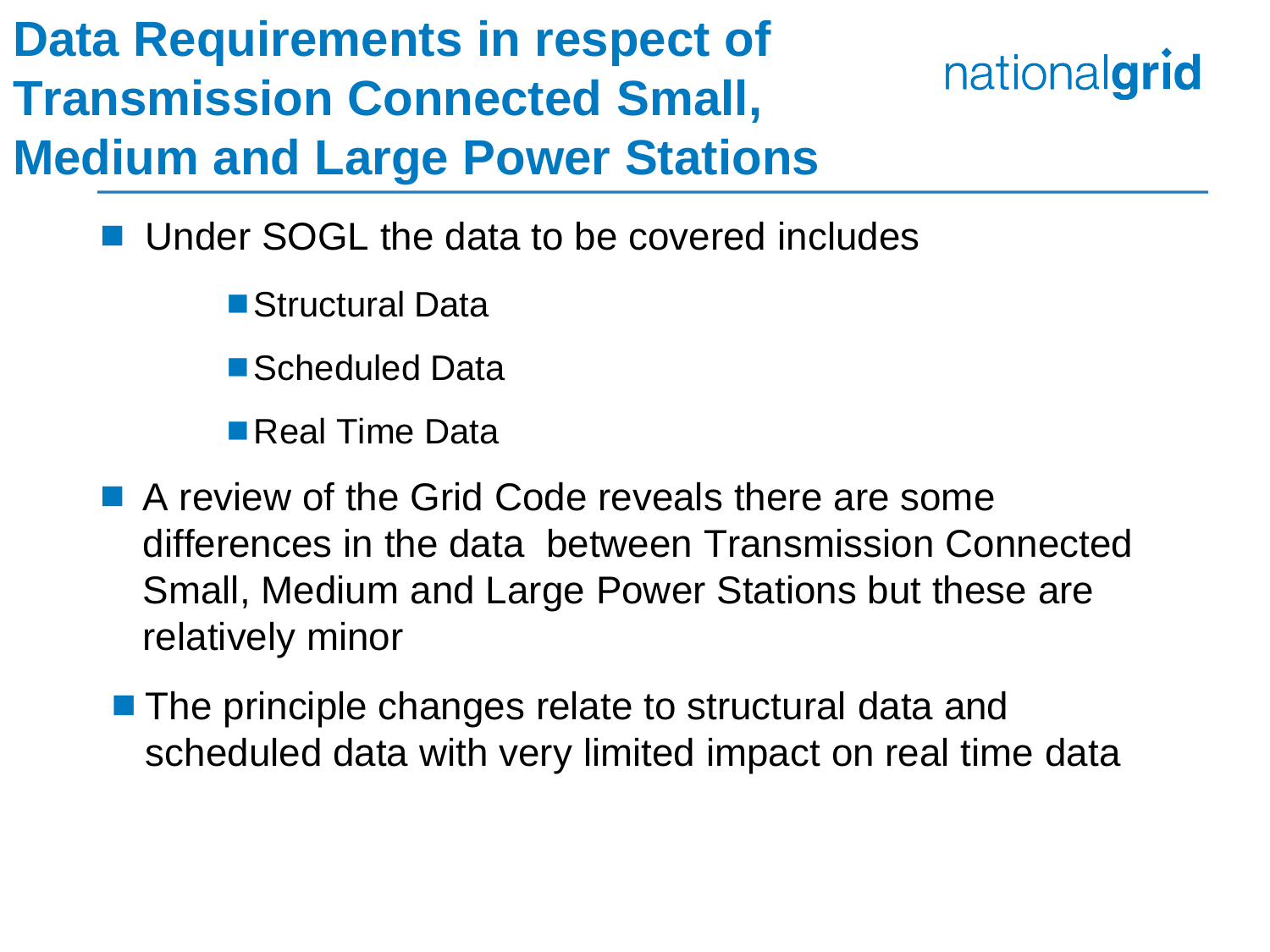**Data Requirements in respect of Transmission Connected Small, Medium and Large Power Stations** 



- Under SOGL the data to be covered includes
	- Structural Data
	- Scheduled Data

■ Real Time Data

- A review of the Grid Code reveals there are some differences in the data between Transmission Connected Small, Medium and Large Power Stations but these are relatively minor
- **The principle changes relate to structural data and** scheduled data with very limited impact on real time data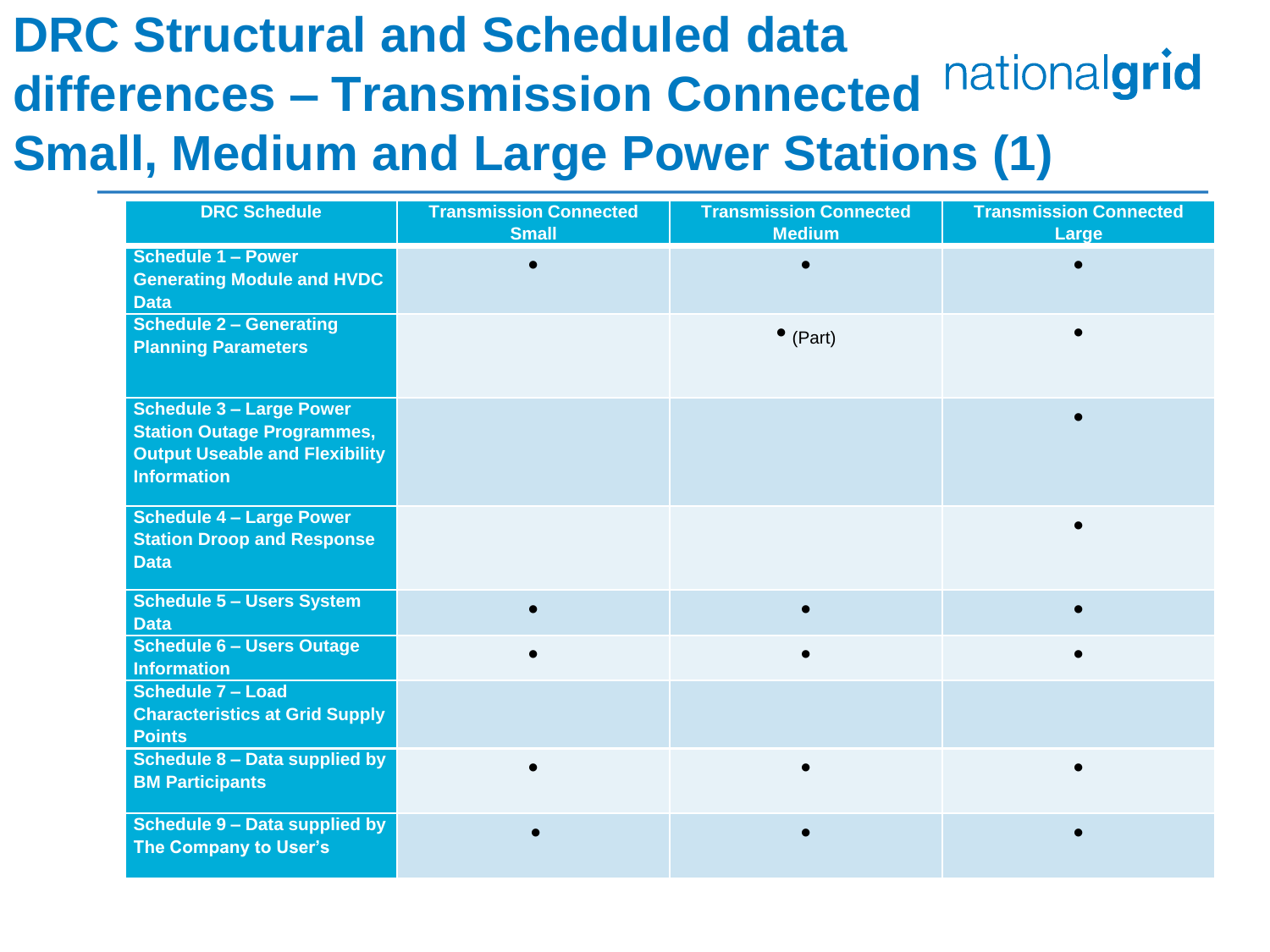# **DRC Structural and Scheduled data differences – Transmission Connected Small, Medium and Large Power Stations (1)**

| <b>DRC Schedule</b>                                                                                                                 | <b>Transmission Connected</b><br><b>Small</b> | <b>Transmission Connected</b><br><b>Medium</b> | <b>Transmission Connected</b><br>Large |
|-------------------------------------------------------------------------------------------------------------------------------------|-----------------------------------------------|------------------------------------------------|----------------------------------------|
| <b>Schedule 1 - Power</b><br><b>Generating Module and HVDC</b><br><b>Data</b>                                                       |                                               |                                                |                                        |
| <b>Schedule 2 - Generating</b><br><b>Planning Parameters</b>                                                                        |                                               | $\bullet$ (Part)                               | $\bullet$                              |
| <b>Schedule 3 - Large Power</b><br><b>Station Outage Programmes,</b><br><b>Output Useable and Flexibility</b><br><b>Information</b> |                                               |                                                |                                        |
| <b>Schedule 4 - Large Power</b><br><b>Station Droop and Response</b><br><b>Data</b>                                                 |                                               |                                                |                                        |
| <b>Schedule 5 - Users System</b><br><b>Data</b>                                                                                     |                                               |                                                |                                        |
| <b>Schedule 6 - Users Outage</b><br><b>Information</b>                                                                              |                                               |                                                | $\bullet$                              |
| <b>Schedule 7 - Load</b><br><b>Characteristics at Grid Supply</b><br><b>Points</b>                                                  |                                               |                                                |                                        |
| <b>Schedule 8 - Data supplied by</b><br><b>BM Participants</b>                                                                      |                                               |                                                |                                        |
| <b>Schedule 9 - Data supplied by</b><br>The Company to User's                                                                       |                                               |                                                |                                        |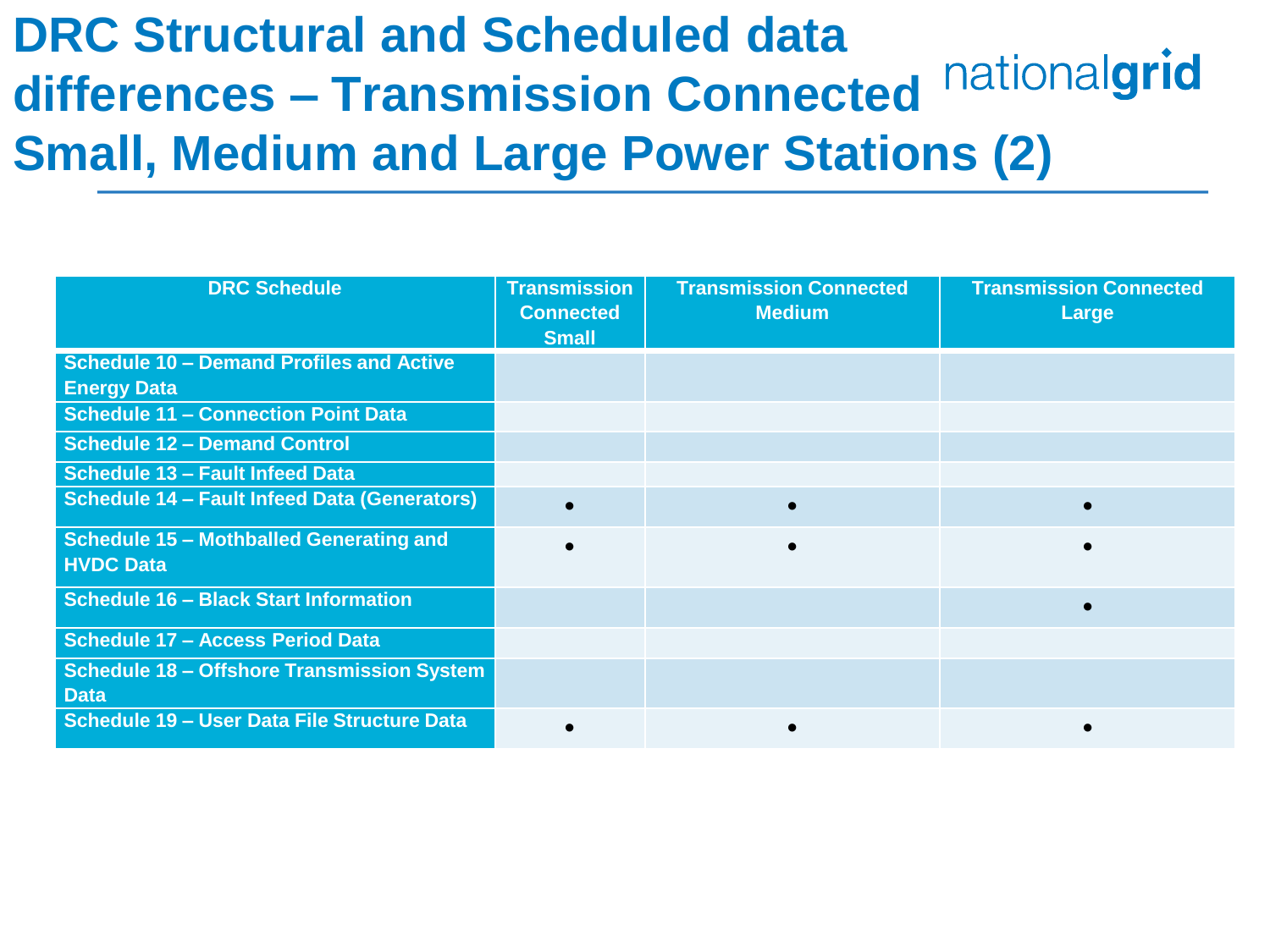# **DRC Structural and Scheduled data differences – Transmission Connected Small, Medium and Large Power Stations (2)**

| <b>DRC Schedule</b>                                                   | <b>Transmission</b><br><b>Connected</b><br><b>Small</b> | <b>Transmission Connected</b><br><b>Medium</b> | <b>Transmission Connected</b><br>Large |
|-----------------------------------------------------------------------|---------------------------------------------------------|------------------------------------------------|----------------------------------------|
| <b>Schedule 10 - Demand Profiles and Active</b><br><b>Energy Data</b> |                                                         |                                                |                                        |
| <b>Schedule 11 - Connection Point Data</b>                            |                                                         |                                                |                                        |
| <b>Schedule 12 - Demand Control</b>                                   |                                                         |                                                |                                        |
| <b>Schedule 13 - Fault Infeed Data</b>                                |                                                         |                                                |                                        |
| <b>Schedule 14 - Fault Infeed Data (Generators)</b>                   |                                                         | $\bullet$                                      |                                        |
| Schedule 15 - Mothballed Generating and<br><b>HVDC Data</b>           |                                                         |                                                |                                        |
| <b>Schedule 16 - Black Start Information</b>                          |                                                         |                                                |                                        |
| <b>Schedule 17 - Access Period Data</b>                               |                                                         |                                                |                                        |
| <b>Schedule 18 - Offshore Transmission System</b><br><b>Data</b>      |                                                         |                                                |                                        |
| <b>Schedule 19 - User Data File Structure Data</b>                    |                                                         |                                                |                                        |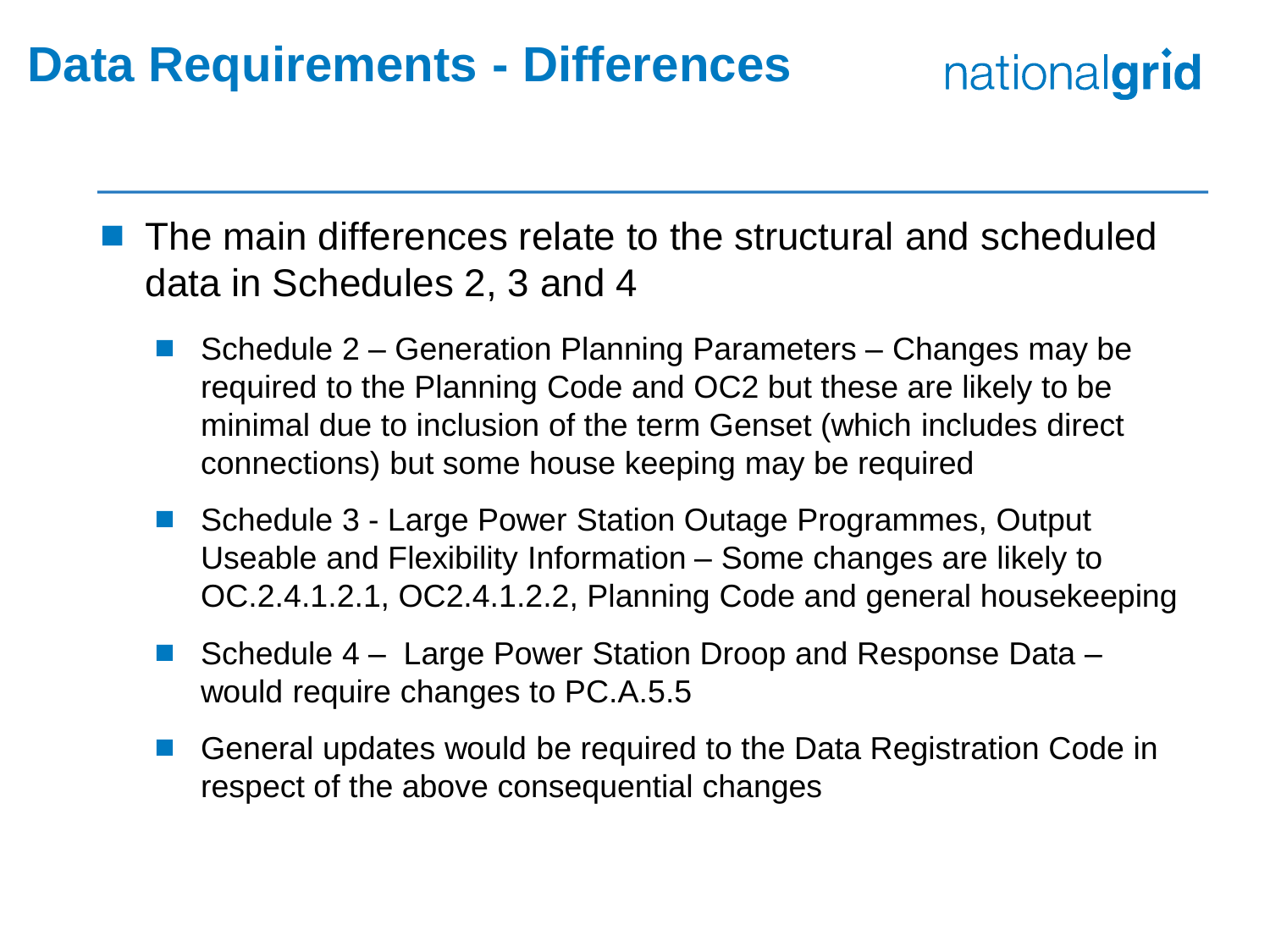#### **Data Requirements - Differences**

nationalgrid

 The main differences relate to the structural and scheduled data in Schedules 2, 3 and 4

- Schedule 2 Generation Planning Parameters Changes may be required to the Planning Code and OC2 but these are likely to be minimal due to inclusion of the term Genset (which includes direct connections) but some house keeping may be required
- Schedule 3 Large Power Station Outage Programmes, Output Useable and Flexibility Information – Some changes are likely to OC.2.4.1.2.1, OC2.4.1.2.2, Planning Code and general housekeeping
- Schedule 4 Large Power Station Droop and Response Data would require changes to PC.A.5.5
- General updates would be required to the Data Registration Code in respect of the above consequential changes